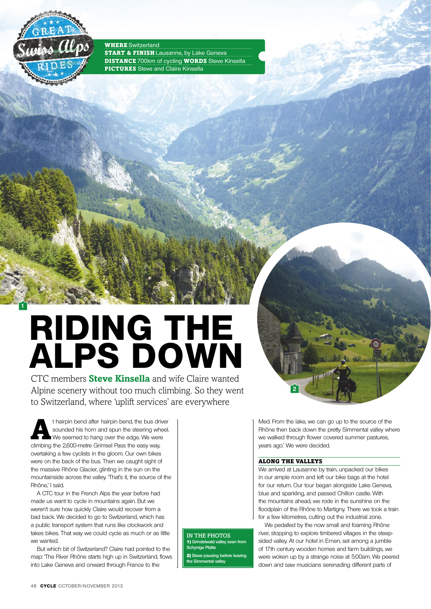

**1**

**WHERE** Switzerland **START & FINISH** Lausanne, by Lake Geneva **DISTANCE** 700km of cycling **WORDS** Steve Kinsella **PICTURES** Steve and Claire Kinsella

# **Riding the ALPS DOWN**

CTC members **Steve Kinsella** and wife Claire wanted Alpine scenery without too much climbing. So they went to Switzerland, where 'uplift services' are everywhere

t hairpin bend after hairpin bend, the bus driver sounded his horn and spun the steering wheel. We seemed to hang over the edge. We were climbing the 2,600-metre Grimsel Pass the easy way, overtaking a few cyclists in the gloom. Our own bikes were on the back of the bus. Then we caught sight of the massive Rhône Glacier, glinting in the sun on the mountainside across the valley. That's it, the source of the Rhône,' I said.

A CTC tour in the French Alps the year before had made us want to cycle in mountains again. But we weren't sure how quickly Claire would recover from a bad back. We decided to go to Switzerland, which has a public transport system that runs like clockwork and takes bikes. That way we could cycle as much or as little we wanted.

But which bit of Switzerland? Claire had pointed to the map: 'The River Rhône starts high up in Switzerland, flows into Lake Geneva and onward through France to the

Rhône then back down the pretty Simmental valley where we walked through flower covered summer pastures, years ago.' We were decided.

Med. From the lake, we can go up to the source of the

#### Along the valleys

**2**

We arrived at Lausanne by train, unpacked our bikes in our ample room and left our bike bags at the hotel for our return. Our tour began alongside Lake Geneva, blue and sparkling, and passed Chillon castle. With the mountains ahead, we rode in the sunshine on the floodplain of the Rhône to Martigny. There we took a train for a few kilometres, cutting out the industrial zone.

We pedalled by the now small and foaming Rhône river, stopping to explore timbered villages in the steepsided valley. At our hotel in Ernen, set among a jumble of 17th century wooden homes and farm buildings, we were woken up by a strange noise at 5:00am. We peered down and saw musicians serenading different parts of

In The Photos **1)** Grindelwald valley see **Schynige Platte** 2) **Steve pausing before leaving the Simmental valley**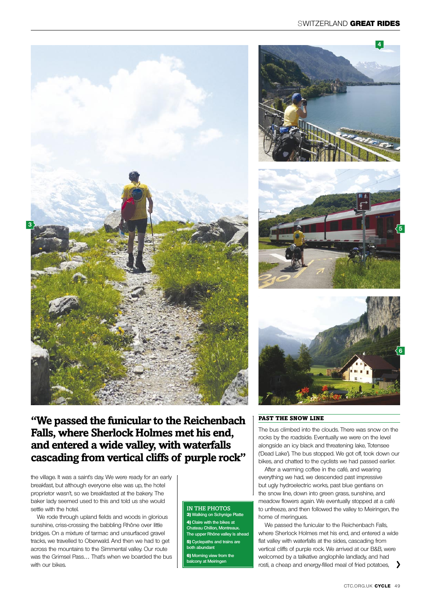







### **"We passed the funicular to the Reichenbach Falls, where Sherlock Holmes met his end, and entered a wide valley, with waterfalls cascading from vertical cliffs of purple rock"**

the village. It was a saint's day. We were ready for an early breakfast, but although everyone else was up, the hotel proprietor wasn't, so we breakfasted at the bakery. The baker lady seemed used to this and told us she would settle with the hotel.

We rode through upland fields and woods in glorious sunshine, criss-crossing the babbling Rhône over little bridges. On a mixture of tarmac and unsurfaced gravel tracks, we travelled to Oberwald. And then we had to get across the mountains to the Simmental valley. Our route was the Grimsel Pass… That's when we boarded the bus with our bikes.

#### IN THE PHOTOS

3) **Walking on Schynige Platte** 4) **Claire with the bikes at Chateau Chillon, Montreaux. The upper Rhône valley is ahe** 5) **Cyclepaths and trains are both abundant** 6) **Morning view from the balcony at Meiringen**

#### Past the snow line

The bus climbed into the clouds. There was snow on the rocks by the roadside. Eventually we were on the level alongside an icy black and threatening lake, Totensee ('Dead Lake'). The bus stopped. We got off, took down our bikes, and chatted to the cyclists we had passed earlier.

After a warming coffee in the café, and wearing everything we had, we descended past impressive but ugly hydroelectric works, past blue gentians on the snow line, down into green grass, sunshine, and meadow flowers again. We eventually stopped at a café to unfreeze, and then followed the valley to Meiringen, the home of meringues.

We passed the funicular to the Reichenbach Falls, where Sherlock Holmes met his end, and entered a wide flat valley with waterfalls at the sides, cascading from vertical cliffs of purple rock. We arrived at our B&B, were welcomed by a talkative anglophile landlady, and had rosti, a cheap and energy-filled meal of fried potatoes,  $\rightarrow$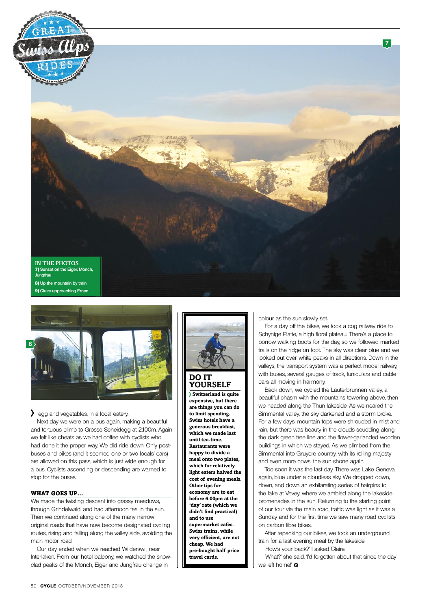



gg and vegetables, in a local eatery.

Next day we were on a bus again, making a beautiful and tortuous climb to Grosse Scheidegg at 2,100m. Again we felt like cheats as we had coffee with cyclists who had done it the proper way. We did ride down. Only postbuses and bikes (and it seemed one or two locals' cars) are allowed on this pass, which is just wide enough for a bus. Cyclists ascending or descending are warned to stop for the buses.

#### WHAT GOES UP...

We made the twisting descent into grassy meadows, through Grindelwald, and had afternoon tea in the sun. Then we continued along one of the many narrow original roads that have now become designated cycling routes, rising and falling along the valley side, avoiding the main motor road.

Our day ended when we reached Wilderswil, near Interlaken. From our hotel balcony, we watched the snowclad peaks of the Monch, Eiger and Jungfrau change in



**yourself**

 **Switzerland is quite expensive, but there are things you can do to limit spending. Swiss hotels have a generous breakfast, which we made last until tea-time. Restaurants were happy to divide a meal onto two plates, which for relatively light eaters halved the cost of evening meals. Other tips for economy are to eat before 6:00pm at the 'day' rate (which we didn't find practical) and to use supermarket cafés. Swiss trains, while very efficient, are not cheap. We had pre-bought half price travel cards.**

colour as the sun slowly set.

For a day off the bikes, we took a cog railway ride to Schynige Platte, a high floral plateau. There's a place to borrow walking boots for the day, so we followed marked trails on the ridge on foot. The sky was clear blue and we looked out over white peaks in all directions. Down in the valleys, the transport system was a perfect model railway, with buses, several gauges of track, funiculars and cable cars all moving in harmony.

Back down, we cycled the Lauterbrunnen valley, a beautiful chasm with the mountains towering above, then we headed along the Thun lakeside. As we neared the Simmental valley, the sky darkened and a storm broke. For a few days, mountain tops were shrouded in mist and rain, but there was beauty in the clouds scudding along the dark green tree line and the flower-garlanded wooden buildings in which we stayed. As we climbed from the Simmental into Gruyere country, with its rolling majesty and even more cows, the sun shone again.

Too soon it was the last day. There was Lake Geneva again, blue under a cloudless sky. We dropped down, down, and down an exhilarating series of hairpins to the lake at Vevey, where we ambled along the lakeside promenades in the sun. Returning to the starting point of our tour via the main road, traffic was light as it was a Sunday and for the first time we saw many road cyclists on carbon fibre bikes.

After repacking our bikes, we took an underground train for a last evening meal by the lakeside.

'How's your back?' I asked Claire.

'What?' she said. 'I'd forgotten about that since the day we left home!'